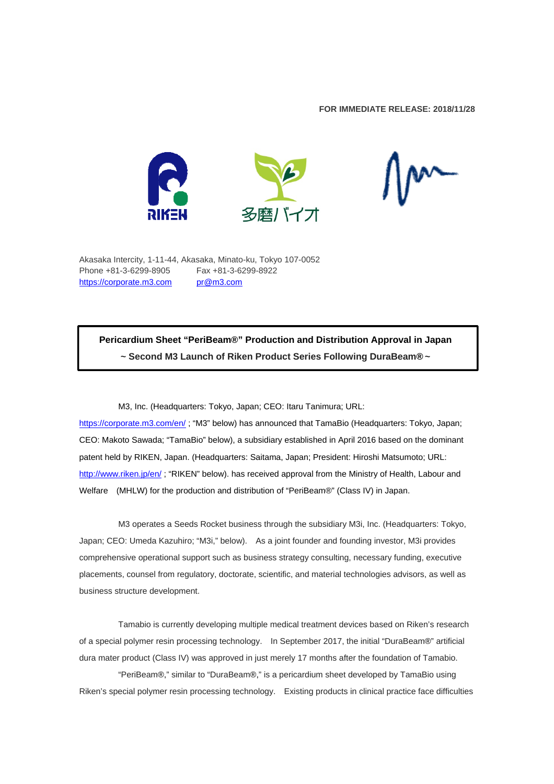# **FOR IMMEDIATE RELEASE: 2018/11/28**



Akasaka Intercity, 1-11-44, Akasaka, Minato-ku, Tokyo 107-0052 Phone +81-3-6299-8905 Fax +81-3-6299-8922 https://corporate.m3.com pr@m3.com

**Pericardium Sheet "PeriBeam®" Production and Distribution Approval in Japan ~ Second M3 Launch of Riken Product Series Following DuraBeam® ~** 

M3, Inc. (Headquarters: Tokyo, Japan; CEO: Itaru Tanimura; URL:

https://corporate.m3.com/en/ ; "M3" below) has announced that TamaBio (Headquarters: Tokyo, Japan; CEO: Makoto Sawada; "TamaBio" below), a subsidiary established in April 2016 based on the dominant patent held by RIKEN, Japan. (Headquarters: Saitama, Japan; President: Hiroshi Matsumoto; URL: http://www.riken.jp/en/; "RIKEN" below). has received approval from the Ministry of Health, Labour and Welfare (MHLW) for the production and distribution of "PeriBeam®" (Class IV) in Japan.

M3 operates a Seeds Rocket business through the subsidiary M3i, Inc. (Headquarters: Tokyo, Japan; CEO: Umeda Kazuhiro; "M3i," below). As a joint founder and founding investor, M3i provides comprehensive operational support such as business strategy consulting, necessary funding, executive placements, counsel from regulatory, doctorate, scientific, and material technologies advisors, as well as business structure development.

Tamabio is currently developing multiple medical treatment devices based on Riken's research of a special polymer resin processing technology. In September 2017, the initial "DuraBeam®" artificial dura mater product (Class IV) was approved in just merely 17 months after the foundation of Tamabio.

"PeriBeam®," similar to "DuraBeam®," is a pericardium sheet developed by TamaBio using Riken's special polymer resin processing technology. Existing products in clinical practice face difficulties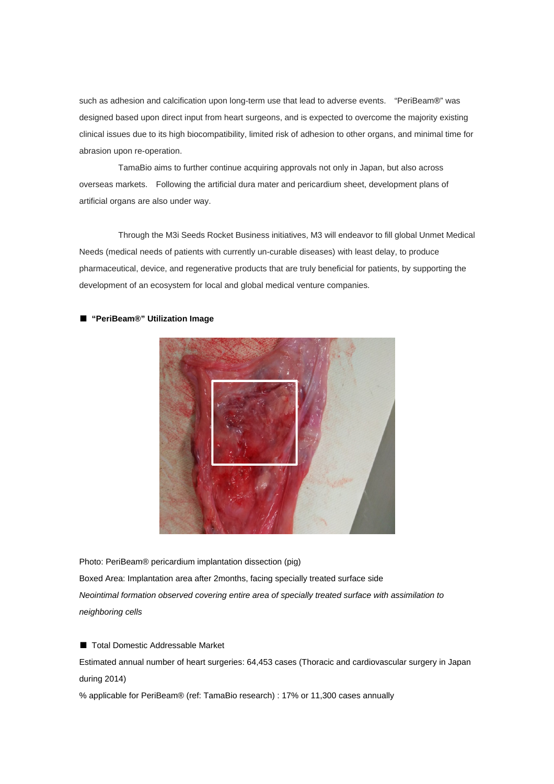such as adhesion and calcification upon long-term use that lead to adverse events. "PeriBeam®" was designed based upon direct input from heart surgeons, and is expected to overcome the majority existing clinical issues due to its high biocompatibility, limited risk of adhesion to other organs, and minimal time for abrasion upon re-operation.

TamaBio aims to further continue acquiring approvals not only in Japan, but also across overseas markets. Following the artificial dura mater and pericardium sheet, development plans of artificial organs are also under way.

Through the M3i Seeds Rocket Business initiatives, M3 will endeavor to fill global Unmet Medical Needs (medical needs of patients with currently un-curable diseases) with least delay, to produce pharmaceutical, device, and regenerative products that are truly beneficial for patients, by supporting the development of an ecosystem for local and global medical venture companies.



# ■ **"PeriBeam®" Utilization Image**

Photo: PeriBeam® pericardium implantation dissection (pig) Boxed Area: Implantation area after 2months, facing specially treated surface side *Neointimal formation observed covering entire area of specially treated surface with assimilation to neighboring cells* 

■ Total Domestic Addressable Market

Estimated annual number of heart surgeries: 64,453 cases (Thoracic and cardiovascular surgery in Japan during 2014)

% applicable for PeriBeam® (ref: TamaBio research) : 17% or 11,300 cases annually